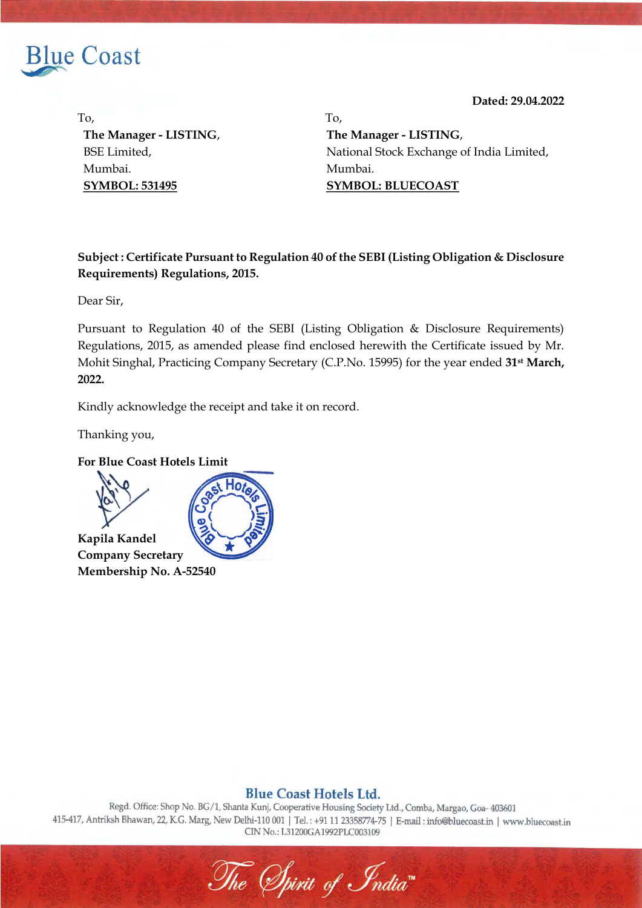

**Dated: 29.04.2022**

To, To, **The Manager - LISTING**, BSE Limited, Mumbai. **SYMBOL: 531495**

**The Manager - LISTING**, National Stock Exchange of India Limited, Mumbai. **SYMBOL: BLUECOAST**

## **Subject : Certificate Pursuant to Regulation 40 of the SEBI (Listing Obligation & Disclosure Requirements) Regulations, 2015.**

Dear Sir,

Pursuant to Regulation 40 of the SEBI (Listing Obligation & Disclosure Requirements) Regulations, 2015, as amended please find enclosed herewith the Certificate issued by Mr. Mohit Singhal, Practicing Company Secretary (C.P.No. 15995) for the year ended **31st March, 2022.**

Kindly acknowledge the receipt and take it on record.

Thanking you,



## **Blue Coast Hotels Ltd.**

Regd. Office: Shop No. BG/1, Shanta Kunj, Cooperative Housing Society Ltd., Comba, Margao, Goa- 403601 415-417, Antriksh Bhawan, 22, K.G. Marg, New Delhi-110 001 | Tel.: +91 11 23358774-75 | E-mail: info@bluecoast.in | www.bluecoast.in CIN No.: L31200GA1992PLC003109

The Spirit of India"